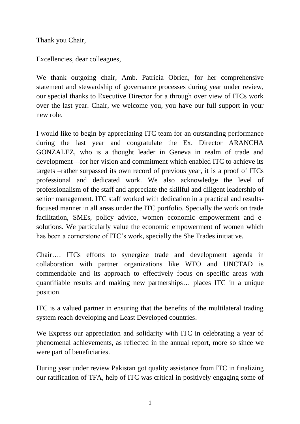Thank you Chair,

Excellencies, dear colleagues,

We thank outgoing chair, Amb. Patricia Obrien, for her comprehensive statement and stewardship of governance processes during year under review, our special thanks to Executive Director for a through over view of ITCs work over the last year. Chair, we welcome you, you have our full support in your new role.

I would like to begin by appreciating ITC team for an outstanding performance during the last year and congratulate the Ex. Director ARANCHA GONZALEZ, who is a thought leader in Geneva in realm of trade and development---for her vision and commitment which enabled ITC to achieve its targets –rather surpassed its own record of previous year, it is a proof of ITCs professional and dedicated work. We also acknowledge the level of professionalism of the staff and appreciate the skillful and diligent leadership of senior management. ITC staff worked with dedication in a practical and resultsfocused manner in all areas under the ITC portfolio. Specially the work on trade facilitation, SMEs, policy advice, women economic empowerment and esolutions. We particularly value the economic empowerment of women which has been a cornerstone of ITC's work, specially the She Trades initiative.

Chair…. ITCs efforts to synergize trade and development agenda in collaboration with partner organizations like WTO and UNCTAD is commendable and its approach to effectively focus on specific areas with quantifiable results and making new partnerships… places ITC in a unique position.

ITC is a valued partner in ensuring that the benefits of the multilateral trading system reach developing and Least Developed countries.

We Express our appreciation and solidarity with ITC in celebrating a year of phenomenal achievements, as reflected in the annual report, more so since we were part of beneficiaries.

During year under review Pakistan got quality assistance from ITC in finalizing our ratification of TFA, help of ITC was critical in positively engaging some of